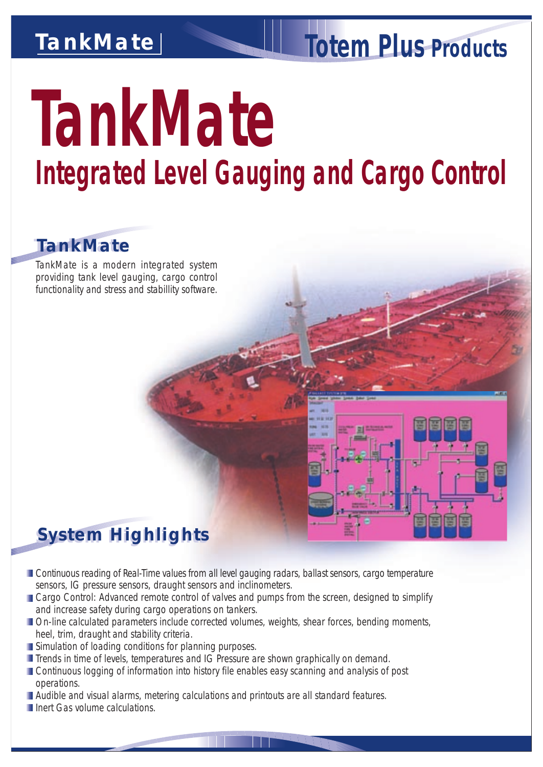## *TankMate*

# *Totem Plus Products*

# *TankMate Integrated Level Gauging and Cargo Control*

#### *TankMate TankMate*

TankMate is a modern integrated system providing tank level gauging, cargo control functionality and stress and stabillity software.

#### *System Highlights System Highlights*

- **Continuous reading of Real-Time values from all level gauging radars, ballast sensors, cargo temperature** sensors, IG pressure sensors, draught sensors and inclinometers.
- **Cargo Control: Advanced remote control of valves and pumps from the screen, designed to simplify** and increase safety during cargo operations on tankers.
- **Don-line calculated parameters include corrected volumes, weights, shear forces, bending moments,** heel, trim, draught and stability criteria.
- **Simulation of loading conditions for planning purposes.**
- **T** Trends in time of levels, temperatures and IG Pressure are shown graphically on demand.
- **Continuous logging of information into history file enables easy scanning and analysis of post** operations.
- Audible and visual alarms, metering calculations and printouts are all standard features.
- **III** Inert Gas volume calculations.